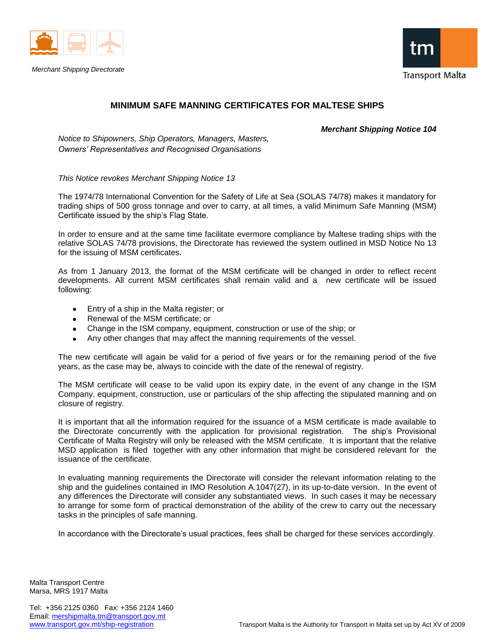

*Merchant Shipping Directorate*



## **MINIMUM SAFE MANNING CERTIFICATES FOR MALTESE SHIPS**

*Merchant Shipping Notice 104*

*Notice to Shipowners, Ship Operators, Managers, Masters, Owners' Representatives and Recognised Organisations*

*This Notice revokes Merchant Shipping Notice 13*

The 1974/78 International Convention for the Safety of Life at Sea (SOLAS 74/78) makes it mandatory for trading ships of 500 gross tonnage and over to carry, at all times, a valid Minimum Safe Manning (MSM) Certificate issued by the ship's Flag State.

In order to ensure and at the same time facilitate evermore compliance by Maltese trading ships with the relative SOLAS 74/78 provisions, the Directorate has reviewed the system outlined in MSD Notice No 13 for the issuing of MSM certificates.

As from 1 January 2013, the format of the MSM certificate will be changed in order to reflect recent developments. All current MSM certificates shall remain valid and a new certificate will be issued following:

- Entry of a ship in the Malta register; or
- Renewal of the MSM certificate; or
- Change in the ISM company, equipment, construction or use of the ship; or
- Any other changes that may affect the manning requirements of the vessel.

The new certificate will again be valid for a period of five years or for the remaining period of the five years, as the case may be, always to coincide with the date of the renewal of registry.

The MSM certificate will cease to be valid upon its expiry date, in the event of any change in the ISM Company, equipment, construction, use or particulars of the ship affecting the stipulated manning and on closure of registry.

It is important that all the information required for the issuance of a MSM certificate is made available to the Directorate concurrently with the application for provisional registration. The ship's Provisional Certificate of Malta Registry will only be released with the MSM certificate. It is important that the relative MSD application is filed together with any other information that might be considered relevant for the issuance of the certificate.

In evaluating manning requirements the Directorate will consider the relevant information relating to the ship and the guidelines contained in IMO Resolution A.1047(27), in its up-to-date version. In the event of any differences the Directorate will consider any substantiated views. In such cases it may be necessary to arrange for some form of practical demonstration of the ability of the crew to carry out the necessary tasks in the principles of safe manning.

In accordance with the Directorate's usual practices, fees shall be charged for these services accordingly.

Malta Transport Centre Marsa, MRS 1917 Malta